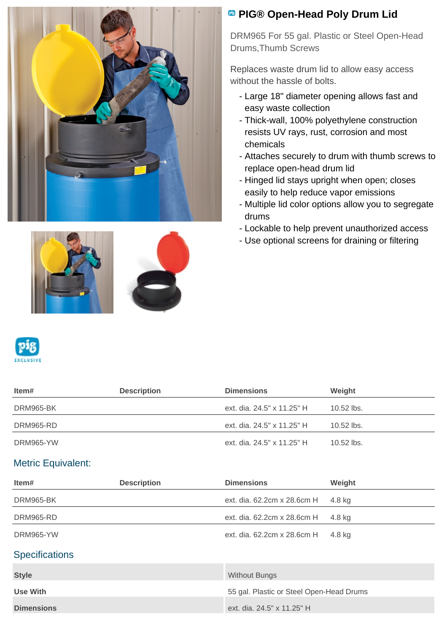

## **<sup>B</sup>** PIG® Open-Head Poly Drum Lid

DRM965 For 55 gal. Plastic or Steel Open-Head Drums,Thumb Screws

Replaces waste drum lid to allow easy access without the hassle of bolts.

- Large 18" diameter opening allows fast and easy waste collection
- Thick-wall, 100% polyethylene construction resists UV rays, rust, corrosion and most chemicals
- Attaches securely to drum with thumb screws to replace open-head drum lid
- Hinged lid stays upright when open; closes easily to help reduce vapor emissions
- Multiple lid color options allow you to segregate drums
- Lockable to help prevent unauthorized access
- Use optional screens for draining or filtering







| ltem#     | <b>Description</b> | <b>Dimensions</b>          | Weight         |
|-----------|--------------------|----------------------------|----------------|
| DRM965-BK |                    | ext. dia. 24.5" x 11.25" H | 10.52 $\mu$ s. |
| DRM965-RD |                    | ext. dia. 24.5" x 11.25" H | 10.52 $\mu$ s. |
| DRM965-YW |                    | ext. dia. 24.5" x 11.25" H | 10.52 $\mu$ s. |

## Metric Equivalent:

| Item#                 | <b>Description</b> | <b>Dimensions</b>                        | Weight |
|-----------------------|--------------------|------------------------------------------|--------|
| DRM965-BK             |                    | ext. dia. 62.2cm x 28.6cm H              | 4.8 kg |
| <b>DRM965-RD</b>      |                    | ext. dia. 62.2cm x 28.6cm H              | 4.8 kg |
| DRM965-YW             |                    | ext. dia. 62.2cm x 28.6cm H              | 4.8 kg |
| <b>Specifications</b> |                    |                                          |        |
| <b>Style</b>          |                    | <b>Without Bungs</b>                     |        |
| <b>Use With</b>       |                    | 55 gal. Plastic or Steel Open-Head Drums |        |
| <b>Dimensions</b>     |                    | ext. dia. 24.5" x 11.25" H               |        |